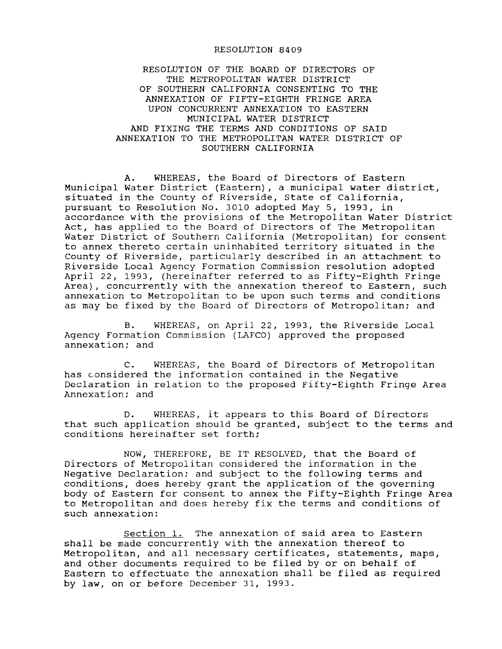## RESOLUTION 8409

## RESOLUTION OF THE BOARD OF DIRECTORS OF THE METROPOLITAN WATER DISTRICT OF SOUTHERN CALIFORNIA CONSENTING TO THE ANNEXATION OF FIFTY-EIGHTH FRINGE AREA UPON CONCURRENT ANNEXATION TO EASTERN MUNICIPAL WATER DISTRICT AND FIXING THE TERMS AND CONDITIONS OF SAID ANNEXATION TO THE METROPOLITAN WATER DISTRICT OF SOUTHERN CALIFORNIA

A. WHEREAS, the Board of Directors of Eastern Municipal Water District (Eastern), <sup>a</sup> municipal water district, situated in the County of Riverside, State of California, pursuant to Resolution No. 3010 adopted May 5, 1993, in accordance with the provisions of the Metropolitan Water District Act, has applied to the Board of Directors of The Metropolitan Water District of Southern California (Metropolitan) for consent to annex thereto certain uninhabited territory situated in the County of Riverside, particularly described in an attachment to Riverside Local Agency Formation Commission resolution adopted April 22, 1993, (hereinafter referred to as Fifty-Eighth Fringe Area), concurrently with the annexation thereof to Eastern, such annexation to Metropolitan to be upon such terms and conditions as may be fixed by the Board of Directors of Metropolitan; and

B. WHEREAS, on April 22, 1993, the Riverside Local Agency Formation Commission (LAFCO) approved the proposed annexation; and

C. WHEREAS, the Board of Directors of Metropolitan has considered the information contained in the Negative Declaration in relation to the proposed Fifty-Eighth Fringe Area Annexation; and

D. WHEREAS, it appears to this Board of Directors that such application should be granted, subject to the terms and conditions hereinafter set forth;

NOW, THEREFORE, BE IT RESOLVED, that the Board of Directors of Metropolitan considered the information in the Negative Declaration; and subject to the following terms and conditions, does hereby grant the application of the governing body of Eastern for consent to annex the Fifty-Eighth Fringe Area to Metropolitan and does hereby fix the terms and conditions of such annexation:

section 1. The annexation of said area to Eastern shall be made concurrently with the annexation thereof to Metropolitan, and all necessary certificates, statements, maps, and other documents required to be filed by or on behalf of Eastern to effectuate the annexation shall be filed as required by law, on or before December 31, 1993.